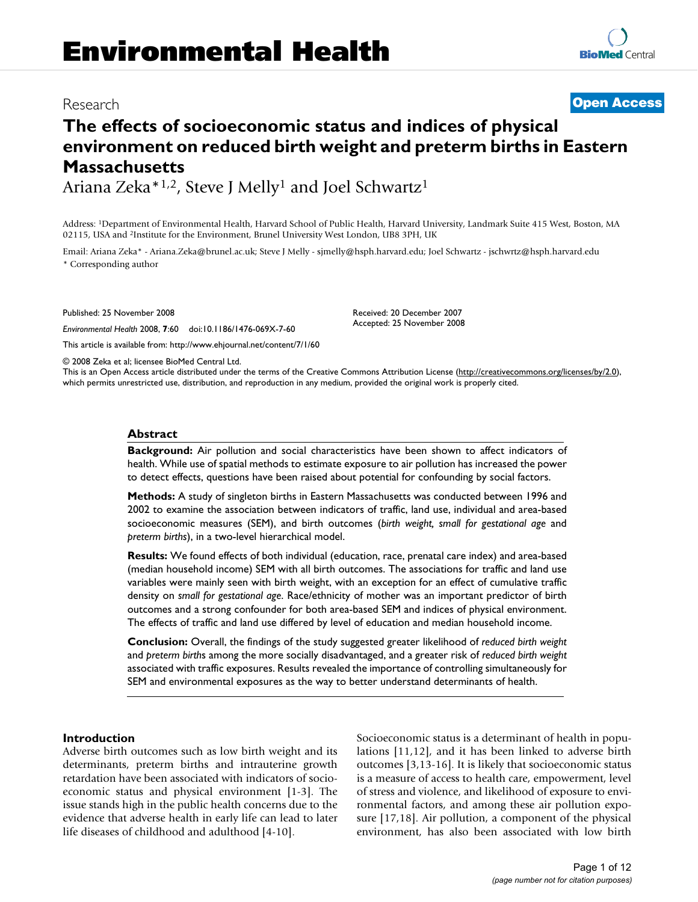## Research **[Open Access](http://www.biomedcentral.com/info/about/charter/)**

# **The effects of socioeconomic status and indices of physical environment on reduced birth weight and preterm births in Eastern Massachusetts**

Ariana Zeka\*1,2, Steve J Melly1 and Joel Schwartz1

Address: 1Department of Environmental Health, Harvard School of Public Health, Harvard University, Landmark Suite 415 West, Boston, MA 02115, USA and 2Institute for the Environment, Brunel University West London, UB8 3PH, UK

Email: Ariana Zeka\* - Ariana.Zeka@brunel.ac.uk; Steve J Melly - sjmelly@hsph.harvard.edu; Joel Schwartz - jschwrtz@hsph.harvard.edu \* Corresponding author

Published: 25 November 2008

*Environmental Health* 2008, **7**:60 doi:10.1186/1476-069X-7-60

[This article is available from: http://www.ehjournal.net/content/7/1/60](http://www.ehjournal.net/content/7/1/60)

Received: 20 December 2007 Accepted: 25 November 2008

© 2008 Zeka et al; licensee BioMed Central Ltd.

This is an Open Access article distributed under the terms of the Creative Commons Attribution License [\(http://creativecommons.org/licenses/by/2.0\)](http://creativecommons.org/licenses/by/2.0), which permits unrestricted use, distribution, and reproduction in any medium, provided the original work is properly cited.

#### **Abstract**

**Background:** Air pollution and social characteristics have been shown to affect indicators of health. While use of spatial methods to estimate exposure to air pollution has increased the power to detect effects, questions have been raised about potential for confounding by social factors.

**Methods:** A study of singleton births in Eastern Massachusetts was conducted between 1996 and 2002 to examine the association between indicators of traffic, land use, individual and area-based socioeconomic measures (SEM), and birth outcomes (*birth weight, small for gestational age* and *preterm births*), in a two-level hierarchical model.

**Results:** We found effects of both individual (education, race, prenatal care index) and area-based (median household income) SEM with all birth outcomes. The associations for traffic and land use variables were mainly seen with birth weight, with an exception for an effect of cumulative traffic density on *small for gestational age*. Race/ethnicity of mother was an important predictor of birth outcomes and a strong confounder for both area-based SEM and indices of physical environment. The effects of traffic and land use differed by level of education and median household income.

**Conclusion:** Overall, the findings of the study suggested greater likelihood of *reduced birth weight* and *preterm birth*s among the more socially disadvantaged, and a greater risk of *reduced birth weight* associated with traffic exposures. Results revealed the importance of controlling simultaneously for SEM and environmental exposures as the way to better understand determinants of health.

#### **Introduction**

Adverse birth outcomes such as low birth weight and its determinants, preterm births and intrauterine growth retardation have been associated with indicators of socioeconomic status and physical environment [1-3]. The issue stands high in the public health concerns due to the evidence that adverse health in early life can lead to later life diseases of childhood and adulthood [4-10].

Socioeconomic status is a determinant of health in populations [11,12], and it has been linked to adverse birth outcomes [3,13-16]. It is likely that socioeconomic status is a measure of access to health care, empowerment, level of stress and violence, and likelihood of exposure to environmental factors, and among these air pollution exposure [17,18]. Air pollution, a component of the physical environment, has also been associated with low birth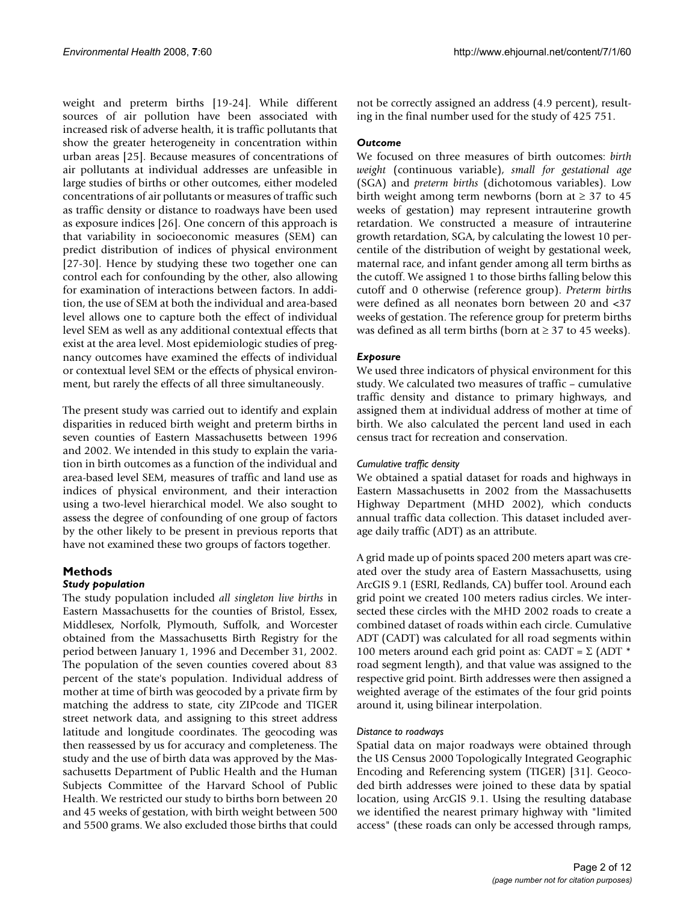weight and preterm births [19-24]. While different sources of air pollution have been associated with increased risk of adverse health, it is traffic pollutants that show the greater heterogeneity in concentration within urban areas [25]. Because measures of concentrations of air pollutants at individual addresses are unfeasible in large studies of births or other outcomes, either modeled concentrations of air pollutants or measures of traffic such as traffic density or distance to roadways have been used as exposure indices [26]. One concern of this approach is that variability in socioeconomic measures (SEM) can predict distribution of indices of physical environment [27-30]. Hence by studying these two together one can control each for confounding by the other, also allowing for examination of interactions between factors. In addition, the use of SEM at both the individual and area-based level allows one to capture both the effect of individual level SEM as well as any additional contextual effects that exist at the area level. Most epidemiologic studies of pregnancy outcomes have examined the effects of individual or contextual level SEM or the effects of physical environment, but rarely the effects of all three simultaneously.

The present study was carried out to identify and explain disparities in reduced birth weight and preterm births in seven counties of Eastern Massachusetts between 1996 and 2002. We intended in this study to explain the variation in birth outcomes as a function of the individual and area-based level SEM, measures of traffic and land use as indices of physical environment, and their interaction using a two-level hierarchical model. We also sought to assess the degree of confounding of one group of factors by the other likely to be present in previous reports that have not examined these two groups of factors together.

## **Methods**

#### *Study population*

The study population included *all singleton live births* in Eastern Massachusetts for the counties of Bristol, Essex, Middlesex, Norfolk, Plymouth, Suffolk, and Worcester obtained from the Massachusetts Birth Registry for the period between January 1, 1996 and December 31, 2002. The population of the seven counties covered about 83 percent of the state's population. Individual address of mother at time of birth was geocoded by a private firm by matching the address to state, city ZIPcode and TIGER street network data, and assigning to this street address latitude and longitude coordinates. The geocoding was then reassessed by us for accuracy and completeness. The study and the use of birth data was approved by the Massachusetts Department of Public Health and the Human Subjects Committee of the Harvard School of Public Health. We restricted our study to births born between 20 and 45 weeks of gestation, with birth weight between 500 and 5500 grams. We also excluded those births that could

not be correctly assigned an address (4.9 percent), resulting in the final number used for the study of 425 751.

#### *Outcome*

We focused on three measures of birth outcomes: *birth weight* (continuous variable), *small for gestational age* (SGA) and *preterm births* (dichotomous variables). Low birth weight among term newborns (born at  $\geq$  37 to 45 weeks of gestation) may represent intrauterine growth retardation. We constructed a measure of intrauterine growth retardation, SGA, by calculating the lowest 10 percentile of the distribution of weight by gestational week, maternal race, and infant gender among all term births as the cutoff. We assigned 1 to those births falling below this cutoff and 0 otherwise (reference group). *Preterm birth*s were defined as all neonates born between 20 and <37 weeks of gestation. The reference group for preterm births was defined as all term births (born at  $\geq$  37 to 45 weeks).

#### *Exposure*

We used three indicators of physical environment for this study. We calculated two measures of traffic – cumulative traffic density and distance to primary highways, and assigned them at individual address of mother at time of birth. We also calculated the percent land used in each census tract for recreation and conservation.

#### *Cumulative traffic density*

We obtained a spatial dataset for roads and highways in Eastern Massachusetts in 2002 from the Massachusetts Highway Department (MHD 2002), which conducts annual traffic data collection. This dataset included average daily traffic (ADT) as an attribute.

A grid made up of points spaced 200 meters apart was created over the study area of Eastern Massachusetts, using ArcGIS 9.1 (ESRI, Redlands, CA) buffer tool. Around each grid point we created 100 meters radius circles. We intersected these circles with the MHD 2002 roads to create a combined dataset of roads within each circle. Cumulative ADT (CADT) was calculated for all road segments within 100 meters around each grid point as: CADT =  $\Sigma$  (ADT \* road segment length), and that value was assigned to the respective grid point. Birth addresses were then assigned a weighted average of the estimates of the four grid points around it, using bilinear interpolation.

#### *Distance to roadways*

Spatial data on major roadways were obtained through the US Census 2000 Topologically Integrated Geographic Encoding and Referencing system (TIGER) [31]. Geocoded birth addresses were joined to these data by spatial location, using ArcGIS 9.1. Using the resulting database we identified the nearest primary highway with "limited access" (these roads can only be accessed through ramps,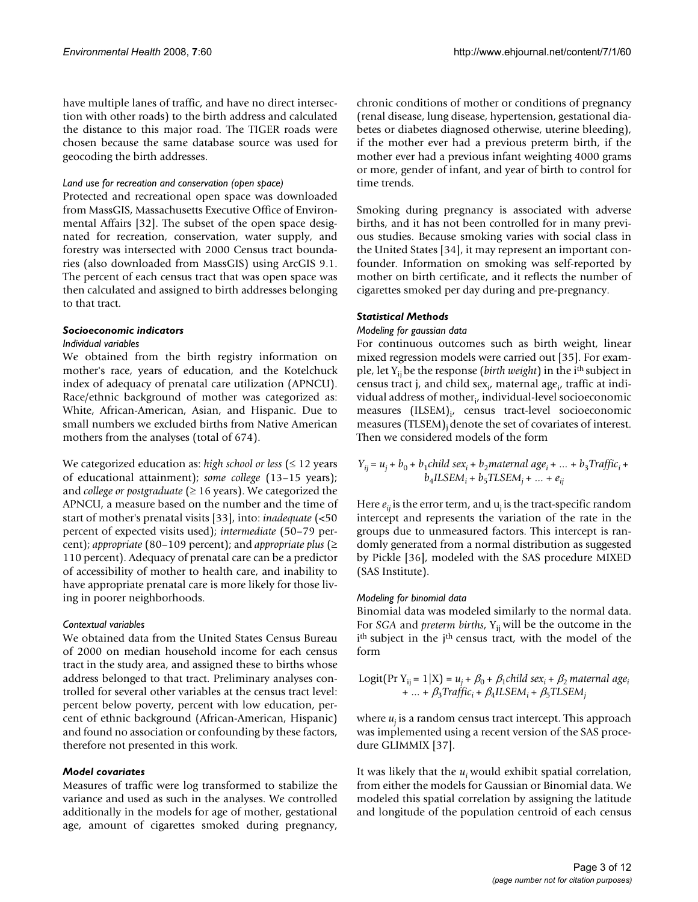have multiple lanes of traffic, and have no direct intersection with other roads) to the birth address and calculated the distance to this major road. The TIGER roads were chosen because the same database source was used for geocoding the birth addresses.

#### *Land use for recreation and conservation (open space)*

Protected and recreational open space was downloaded from MassGIS, Massachusetts Executive Office of Environmental Affairs [32]. The subset of the open space designated for recreation, conservation, water supply, and forestry was intersected with 2000 Census tract boundaries (also downloaded from MassGIS) using ArcGIS 9.1. The percent of each census tract that was open space was then calculated and assigned to birth addresses belonging to that tract.

#### *Socioeconomic indicators*

#### *Individual variables*

We obtained from the birth registry information on mother's race, years of education, and the Kotelchuck index of adequacy of prenatal care utilization (APNCU). Race/ethnic background of mother was categorized as: White, African-American, Asian, and Hispanic. Due to small numbers we excluded births from Native American mothers from the analyses (total of 674).

We categorized education as: *high school or less* (≤ 12 years of educational attainment); *some college* (13–15 years); and *college or postgraduate*  $(≥ 16$  years). We categorized the APNCU, a measure based on the number and the time of start of mother's prenatal visits [33], into: *inadequate* (<50 percent of expected visits used); *intermediate* (50–79 percent); *appropriate* (80–109 percent); and *appropriate plus* (≥ 110 percent). Adequacy of prenatal care can be a predictor of accessibility of mother to health care, and inability to have appropriate prenatal care is more likely for those living in poorer neighborhoods.

#### *Contextual variables*

We obtained data from the United States Census Bureau of 2000 on median household income for each census tract in the study area, and assigned these to births whose address belonged to that tract. Preliminary analyses controlled for several other variables at the census tract level: percent below poverty, percent with low education, percent of ethnic background (African-American, Hispanic) and found no association or confounding by these factors, therefore not presented in this work.

#### *Model covariates*

Measures of traffic were log transformed to stabilize the variance and used as such in the analyses. We controlled additionally in the models for age of mother, gestational age, amount of cigarettes smoked during pregnancy,

chronic conditions of mother or conditions of pregnancy (renal disease, lung disease, hypertension, gestational diabetes or diabetes diagnosed otherwise, uterine bleeding), if the mother ever had a previous preterm birth, if the mother ever had a previous infant weighting 4000 grams or more, gender of infant, and year of birth to control for time trends.

Smoking during pregnancy is associated with adverse births, and it has not been controlled for in many previous studies. Because smoking varies with social class in the United States [34], it may represent an important confounder. Information on smoking was self-reported by mother on birth certificate, and it reflects the number of cigarettes smoked per day during and pre-pregnancy.

#### *Statistical Methods*

#### *Modeling for gaussian data*

For continuous outcomes such as birth weight, linear mixed regression models were carried out [35]. For example, let Y<sub>ij</sub> be the response (*birth weight*) in the i<sup>th</sup> subject in census tract j, and child sex<sub>i</sub>, maternal age<sub>i</sub>, traffic at individual address of mother $_{i}$ , individual-level socioeconomic measures (ILSEM)<sub>i</sub>, census tract-level socioeconomic measures (TLSEM)<sub>i</sub> denote the set of covariates of interest. Then we considered models of the form

$$
Y_{ij} = u_j + b_0 + b_1 child \ sex_i + b_2 material \ age_i + \dots + b_3 Traffic_i + b_4 ILSEM_i + b_5 TLSEM_j + \dots + e_{ij}
$$

Here  $e_{ii}$  is the error term, and  $u_i$  is the tract-specific random intercept and represents the variation of the rate in the groups due to unmeasured factors. This intercept is randomly generated from a normal distribution as suggested by Pickle [36], modeled with the SAS procedure MIXED (SAS Institute).

#### *Modeling for binomial data*

Binomial data was modeled similarly to the normal data. For *SGA* and *preterm births*, Y<sub>ij</sub> will be the outcome in the i<sup>th</sup> subject in the j<sup>th</sup> census tract, with the model of the form

Logit(Pr Y<sub>ij</sub> = 1|X) = 
$$
u_j + \beta_0 + \beta_1
$$
child sex<sub>i</sub> +  $\beta_2$  maternal age<sub>i</sub>  
+ ... +  $\beta_3$ Traffic<sub>i</sub> +  $\beta_4$ ILSEM<sub>i</sub> +  $\beta_5$ TLSEM<sub>j</sub>

where  $u_i$  is a random census tract intercept. This approach was implemented using a recent version of the SAS procedure GLIMMIX [37].

It was likely that the *u<sub>i</sub>* would exhibit spatial correlation, from either the models for Gaussian or Binomial data. We modeled this spatial correlation by assigning the latitude and longitude of the population centroid of each census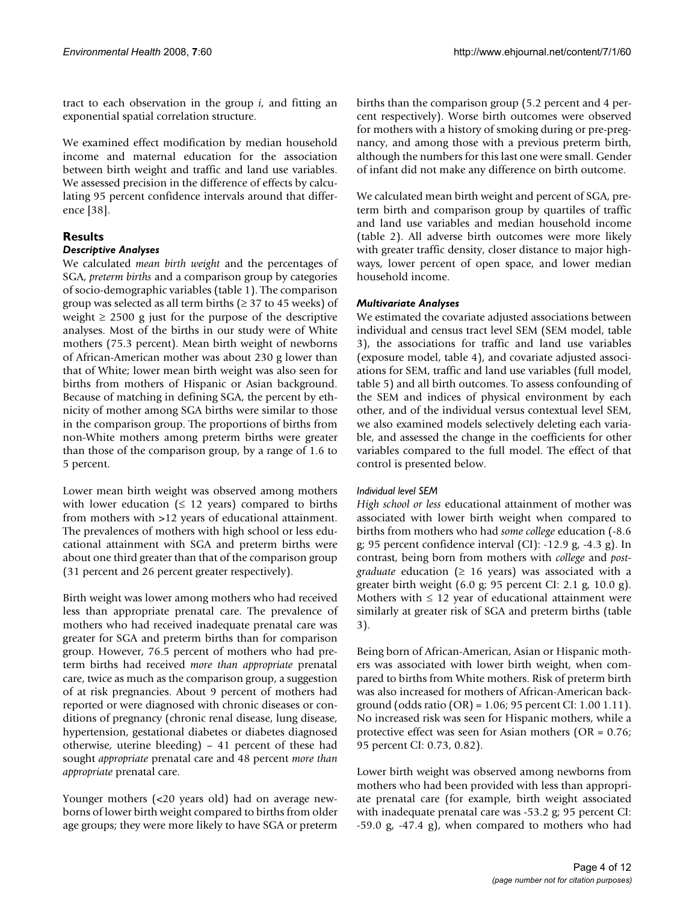tract to each observation in the group *i*, and fitting an exponential spatial correlation structure.

We examined effect modification by median household income and maternal education for the association between birth weight and traffic and land use variables. We assessed precision in the difference of effects by calculating 95 percent confidence intervals around that difference [38].

## **Results**

## *Descriptive Analyses*

We calculated *mean birth weight* and the percentages of SGA, *preterm births* and a comparison group by categories of socio-demographic variables (table 1). The comparison group was selected as all term births ( $\geq$  37 to 45 weeks) of weight  $\geq$  2500 g just for the purpose of the descriptive analyses. Most of the births in our study were of White mothers (75.3 percent). Mean birth weight of newborns of African-American mother was about 230 g lower than that of White; lower mean birth weight was also seen for births from mothers of Hispanic or Asian background. Because of matching in defining SGA, the percent by ethnicity of mother among SGA births were similar to those in the comparison group. The proportions of births from non-White mothers among preterm births were greater than those of the comparison group, by a range of 1.6 to 5 percent.

Lower mean birth weight was observed among mothers with lower education ( $\leq 12$  years) compared to births from mothers with >12 years of educational attainment. The prevalences of mothers with high school or less educational attainment with SGA and preterm births were about one third greater than that of the comparison group (31 percent and 26 percent greater respectively).

Birth weight was lower among mothers who had received less than appropriate prenatal care. The prevalence of mothers who had received inadequate prenatal care was greater for SGA and preterm births than for comparison group. However, 76.5 percent of mothers who had preterm births had received *more than appropriate* prenatal care, twice as much as the comparison group, a suggestion of at risk pregnancies. About 9 percent of mothers had reported or were diagnosed with chronic diseases or conditions of pregnancy (chronic renal disease, lung disease, hypertension, gestational diabetes or diabetes diagnosed otherwise, uterine bleeding) – 41 percent of these had sought *appropriate* prenatal care and 48 percent *more than appropriate* prenatal care.

Younger mothers (<20 years old) had on average newborns of lower birth weight compared to births from older age groups; they were more likely to have SGA or preterm

births than the comparison group (5.2 percent and 4 percent respectively). Worse birth outcomes were observed for mothers with a history of smoking during or pre-pregnancy, and among those with a previous preterm birth, although the numbers for this last one were small. Gender of infant did not make any difference on birth outcome.

We calculated mean birth weight and percent of SGA, preterm birth and comparison group by quartiles of traffic and land use variables and median household income (table 2). All adverse birth outcomes were more likely with greater traffic density, closer distance to major highways, lower percent of open space, and lower median household income.

## *Multivariate Analyses*

We estimated the covariate adjusted associations between individual and census tract level SEM (SEM model, table 3), the associations for traffic and land use variables (exposure model, table 4), and covariate adjusted associations for SEM, traffic and land use variables (full model, table 5) and all birth outcomes. To assess confounding of the SEM and indices of physical environment by each other, and of the individual versus contextual level SEM, we also examined models selectively deleting each variable, and assessed the change in the coefficients for other variables compared to the full model. The effect of that control is presented below.

## *Individual level SEM*

*High school or less* educational attainment of mother was associated with lower birth weight when compared to births from mothers who had *some college* education (-8.6 g; 95 percent confidence interval (CI): -12.9 g, -4.3 g). In contrast, being born from mothers with *college* and *postgraduate* education (≥ 16 years) was associated with a greater birth weight  $(6.0 \text{ g}; 95 \text{ percent CI}: 2.1 \text{ g}, 10.0 \text{ g}).$ Mothers with  $\leq 12$  year of educational attainment were similarly at greater risk of SGA and preterm births (table 3).

Being born of African-American, Asian or Hispanic mothers was associated with lower birth weight, when compared to births from White mothers. Risk of preterm birth was also increased for mothers of African-American background (odds ratio (OR) = 1.06; 95 percent CI: 1.00 1.11). No increased risk was seen for Hispanic mothers, while a protective effect was seen for Asian mothers (OR = 0.76; 95 percent CI: 0.73, 0.82).

Lower birth weight was observed among newborns from mothers who had been provided with less than appropriate prenatal care (for example, birth weight associated with inadequate prenatal care was -53.2 g; 95 percent CI: -59.0 g, -47.4 g), when compared to mothers who had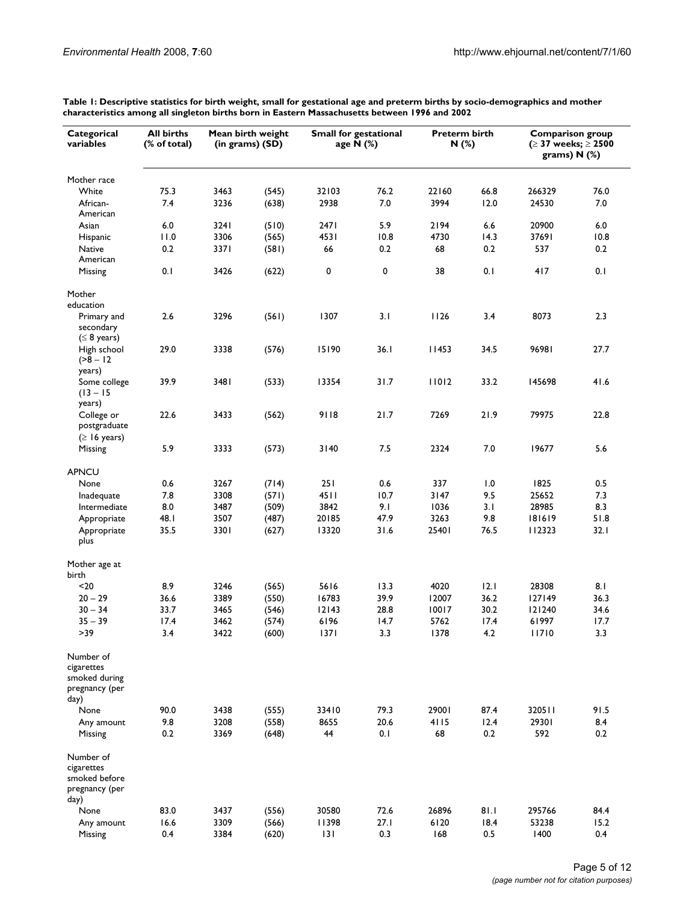| Mother race<br>75.3<br>76.2<br>White<br>3463<br>(545)<br>32103<br>22160<br>66.8<br>266329<br>76.0<br>7.4<br>3236<br>2938<br>7.0<br>12.0<br>African-<br>(638)<br>3994<br>24530<br>7.0<br>American<br>6.0<br>6.0<br>3241<br>(510)<br>2471<br>5.9<br>2194<br>6.6<br>20900<br>Asian<br>3306<br>4531<br>14.3<br>10.8<br>11.0<br>(565)<br>10.8<br>4730<br>37691<br>Hispanic<br>0.2<br>0.2<br>537<br>0.2<br>Native<br>0.2<br>3371<br>(581)<br>66<br>68<br>American<br>0<br>0<br>38<br>0.1<br>0.1<br>0.1<br>3426<br>417<br>Missing<br>(622)<br>Mother<br>education<br>2.6<br>3296<br>3.1<br>1126<br>3.4<br>8073<br>2.3<br>(561)<br>1307<br>Primary and<br>secondary<br>$(\leq 8 \text{ years})$<br>29.0<br>3338<br>15190<br>36.1<br>11453<br>34.5<br>96981<br>27.7<br>High school<br>(576)<br>$(28 - 12)$<br>years)<br>31.7<br>11012<br>33.2<br>41.6<br>39.9<br>3481<br>(533)<br>13354<br>145698<br>Some college<br>$(13 - 15)$<br>years)<br>College or<br>22.6<br>3433<br>9118<br>21.7<br>7269<br>21.9<br>79975<br>22.8<br>(562)<br>postgraduate<br>$( \geq 16 \text{ years})$<br>5.9<br>7.5<br>7.0<br>5.6<br>3333<br>(573)<br>3140<br>2324<br>19677<br>Missing<br><b>APNCU</b><br>None<br>0.6<br>3267<br>(714)<br>251<br>0.6<br>337<br>1.0<br>1825<br>0.5<br>7.8<br>4511<br>10.7<br>9.5<br>25652<br>7.3<br>3308<br>(571)<br>3147<br>Inadequate<br>8.0<br>9.1<br>3.1<br>8.3<br>Intermediate<br>3487<br>(509)<br>3842<br>1036<br>28985<br>3507<br>47.9<br>9.8<br>51.8<br>20185<br>3263<br>181619<br>Appropriate<br>48. I<br>(487)<br>3301<br>13320<br>31.6<br>76.5<br>32.1<br>35.5<br>25401<br>112323<br>Appropriate<br>(627)<br>plus<br>Mother age at<br>birth<br>8.9<br>4020<br>12.1<br>8.1<br>$20$<br>3246<br>(565)<br>5616<br>13.3<br>28308<br>$20 - 29$<br>36.6<br>3389<br>(550)<br>16783<br>39.9<br>12007<br>36.2<br>36.3<br>127149<br>30.2<br>$30 - 34$<br>33.7<br>3465<br>12143<br>28.8<br>10017<br>34.6<br>(546)<br>121240<br>$35 - 39$<br>17.4<br>6196<br>14.7<br>5762<br>17.4<br>61997<br>17.7<br>3462<br>(574)<br>$>39$<br>3422<br>3.3<br>3.4<br>(600)<br>$1371$<br>3.3<br>1378<br>4.2<br>11710<br>Number of<br>cigarettes<br>smoked during<br>pregnancy (per<br>day)<br>79.3<br>29001<br>91.5<br>90.0<br>3438<br>(555)<br>33410<br>87.4<br>320511<br>None<br>9.8<br>3208<br>(558)<br>8655<br>20.6<br>4115<br>12.4<br>29301<br>8.4<br>Any amount<br>0.1<br>592<br>0.2<br>0.2<br>3369<br>44<br>68<br>0.2<br>Missing<br>(648)<br>Number of<br>cigarettes<br>smoked before<br>pregnancy (per<br>day)<br>None<br>83.0<br>30580<br>72.6<br>26896<br>81.1<br>295766<br>3437<br>(556)<br>84.4<br>3309<br>11398<br>27.1<br>6120<br>18.4<br>53238<br>15.2<br>Any amount<br>16.6<br>(566)<br>0.4<br>3384<br> 3 <br>0.3<br>168<br>0.5<br>1400<br>0.4<br>Missing<br>(620) | Categorical<br>variables | All births<br>(% of total) | Mean birth weight<br>(in grams) (SD) | <b>Small for gestational</b> | age N (%) | <b>Preterm birth</b><br>N(%) | <b>Comparison group</b><br>(≥ 37 weeks; ≥ 2500<br>grams) $N$ (%) |  |
|-------------------------------------------------------------------------------------------------------------------------------------------------------------------------------------------------------------------------------------------------------------------------------------------------------------------------------------------------------------------------------------------------------------------------------------------------------------------------------------------------------------------------------------------------------------------------------------------------------------------------------------------------------------------------------------------------------------------------------------------------------------------------------------------------------------------------------------------------------------------------------------------------------------------------------------------------------------------------------------------------------------------------------------------------------------------------------------------------------------------------------------------------------------------------------------------------------------------------------------------------------------------------------------------------------------------------------------------------------------------------------------------------------------------------------------------------------------------------------------------------------------------------------------------------------------------------------------------------------------------------------------------------------------------------------------------------------------------------------------------------------------------------------------------------------------------------------------------------------------------------------------------------------------------------------------------------------------------------------------------------------------------------------------------------------------------------------------------------------------------------------------------------------------------------------------------------------------------------------------------------------------------------------------------------------------------------------------------------------------------------------------------------------------------------------------------------------------------------------------------------------------------------------------------------------------------------------------------------------------------------------------------------------------------------------------------------------------------------------------------------------------------|--------------------------|----------------------------|--------------------------------------|------------------------------|-----------|------------------------------|------------------------------------------------------------------|--|
|                                                                                                                                                                                                                                                                                                                                                                                                                                                                                                                                                                                                                                                                                                                                                                                                                                                                                                                                                                                                                                                                                                                                                                                                                                                                                                                                                                                                                                                                                                                                                                                                                                                                                                                                                                                                                                                                                                                                                                                                                                                                                                                                                                                                                                                                                                                                                                                                                                                                                                                                                                                                                                                                                                                                                                   |                          |                            |                                      |                              |           |                              |                                                                  |  |
|                                                                                                                                                                                                                                                                                                                                                                                                                                                                                                                                                                                                                                                                                                                                                                                                                                                                                                                                                                                                                                                                                                                                                                                                                                                                                                                                                                                                                                                                                                                                                                                                                                                                                                                                                                                                                                                                                                                                                                                                                                                                                                                                                                                                                                                                                                                                                                                                                                                                                                                                                                                                                                                                                                                                                                   |                          |                            |                                      |                              |           |                              |                                                                  |  |
|                                                                                                                                                                                                                                                                                                                                                                                                                                                                                                                                                                                                                                                                                                                                                                                                                                                                                                                                                                                                                                                                                                                                                                                                                                                                                                                                                                                                                                                                                                                                                                                                                                                                                                                                                                                                                                                                                                                                                                                                                                                                                                                                                                                                                                                                                                                                                                                                                                                                                                                                                                                                                                                                                                                                                                   |                          |                            |                                      |                              |           |                              |                                                                  |  |
|                                                                                                                                                                                                                                                                                                                                                                                                                                                                                                                                                                                                                                                                                                                                                                                                                                                                                                                                                                                                                                                                                                                                                                                                                                                                                                                                                                                                                                                                                                                                                                                                                                                                                                                                                                                                                                                                                                                                                                                                                                                                                                                                                                                                                                                                                                                                                                                                                                                                                                                                                                                                                                                                                                                                                                   |                          |                            |                                      |                              |           |                              |                                                                  |  |
|                                                                                                                                                                                                                                                                                                                                                                                                                                                                                                                                                                                                                                                                                                                                                                                                                                                                                                                                                                                                                                                                                                                                                                                                                                                                                                                                                                                                                                                                                                                                                                                                                                                                                                                                                                                                                                                                                                                                                                                                                                                                                                                                                                                                                                                                                                                                                                                                                                                                                                                                                                                                                                                                                                                                                                   |                          |                            |                                      |                              |           |                              |                                                                  |  |
|                                                                                                                                                                                                                                                                                                                                                                                                                                                                                                                                                                                                                                                                                                                                                                                                                                                                                                                                                                                                                                                                                                                                                                                                                                                                                                                                                                                                                                                                                                                                                                                                                                                                                                                                                                                                                                                                                                                                                                                                                                                                                                                                                                                                                                                                                                                                                                                                                                                                                                                                                                                                                                                                                                                                                                   |                          |                            |                                      |                              |           |                              |                                                                  |  |
|                                                                                                                                                                                                                                                                                                                                                                                                                                                                                                                                                                                                                                                                                                                                                                                                                                                                                                                                                                                                                                                                                                                                                                                                                                                                                                                                                                                                                                                                                                                                                                                                                                                                                                                                                                                                                                                                                                                                                                                                                                                                                                                                                                                                                                                                                                                                                                                                                                                                                                                                                                                                                                                                                                                                                                   |                          |                            |                                      |                              |           |                              |                                                                  |  |
|                                                                                                                                                                                                                                                                                                                                                                                                                                                                                                                                                                                                                                                                                                                                                                                                                                                                                                                                                                                                                                                                                                                                                                                                                                                                                                                                                                                                                                                                                                                                                                                                                                                                                                                                                                                                                                                                                                                                                                                                                                                                                                                                                                                                                                                                                                                                                                                                                                                                                                                                                                                                                                                                                                                                                                   |                          |                            |                                      |                              |           |                              |                                                                  |  |
|                                                                                                                                                                                                                                                                                                                                                                                                                                                                                                                                                                                                                                                                                                                                                                                                                                                                                                                                                                                                                                                                                                                                                                                                                                                                                                                                                                                                                                                                                                                                                                                                                                                                                                                                                                                                                                                                                                                                                                                                                                                                                                                                                                                                                                                                                                                                                                                                                                                                                                                                                                                                                                                                                                                                                                   |                          |                            |                                      |                              |           |                              |                                                                  |  |
|                                                                                                                                                                                                                                                                                                                                                                                                                                                                                                                                                                                                                                                                                                                                                                                                                                                                                                                                                                                                                                                                                                                                                                                                                                                                                                                                                                                                                                                                                                                                                                                                                                                                                                                                                                                                                                                                                                                                                                                                                                                                                                                                                                                                                                                                                                                                                                                                                                                                                                                                                                                                                                                                                                                                                                   |                          |                            |                                      |                              |           |                              |                                                                  |  |
|                                                                                                                                                                                                                                                                                                                                                                                                                                                                                                                                                                                                                                                                                                                                                                                                                                                                                                                                                                                                                                                                                                                                                                                                                                                                                                                                                                                                                                                                                                                                                                                                                                                                                                                                                                                                                                                                                                                                                                                                                                                                                                                                                                                                                                                                                                                                                                                                                                                                                                                                                                                                                                                                                                                                                                   |                          |                            |                                      |                              |           |                              |                                                                  |  |
|                                                                                                                                                                                                                                                                                                                                                                                                                                                                                                                                                                                                                                                                                                                                                                                                                                                                                                                                                                                                                                                                                                                                                                                                                                                                                                                                                                                                                                                                                                                                                                                                                                                                                                                                                                                                                                                                                                                                                                                                                                                                                                                                                                                                                                                                                                                                                                                                                                                                                                                                                                                                                                                                                                                                                                   |                          |                            |                                      |                              |           |                              |                                                                  |  |
|                                                                                                                                                                                                                                                                                                                                                                                                                                                                                                                                                                                                                                                                                                                                                                                                                                                                                                                                                                                                                                                                                                                                                                                                                                                                                                                                                                                                                                                                                                                                                                                                                                                                                                                                                                                                                                                                                                                                                                                                                                                                                                                                                                                                                                                                                                                                                                                                                                                                                                                                                                                                                                                                                                                                                                   |                          |                            |                                      |                              |           |                              |                                                                  |  |
|                                                                                                                                                                                                                                                                                                                                                                                                                                                                                                                                                                                                                                                                                                                                                                                                                                                                                                                                                                                                                                                                                                                                                                                                                                                                                                                                                                                                                                                                                                                                                                                                                                                                                                                                                                                                                                                                                                                                                                                                                                                                                                                                                                                                                                                                                                                                                                                                                                                                                                                                                                                                                                                                                                                                                                   |                          |                            |                                      |                              |           |                              |                                                                  |  |
|                                                                                                                                                                                                                                                                                                                                                                                                                                                                                                                                                                                                                                                                                                                                                                                                                                                                                                                                                                                                                                                                                                                                                                                                                                                                                                                                                                                                                                                                                                                                                                                                                                                                                                                                                                                                                                                                                                                                                                                                                                                                                                                                                                                                                                                                                                                                                                                                                                                                                                                                                                                                                                                                                                                                                                   |                          |                            |                                      |                              |           |                              |                                                                  |  |
|                                                                                                                                                                                                                                                                                                                                                                                                                                                                                                                                                                                                                                                                                                                                                                                                                                                                                                                                                                                                                                                                                                                                                                                                                                                                                                                                                                                                                                                                                                                                                                                                                                                                                                                                                                                                                                                                                                                                                                                                                                                                                                                                                                                                                                                                                                                                                                                                                                                                                                                                                                                                                                                                                                                                                                   |                          |                            |                                      |                              |           |                              |                                                                  |  |
|                                                                                                                                                                                                                                                                                                                                                                                                                                                                                                                                                                                                                                                                                                                                                                                                                                                                                                                                                                                                                                                                                                                                                                                                                                                                                                                                                                                                                                                                                                                                                                                                                                                                                                                                                                                                                                                                                                                                                                                                                                                                                                                                                                                                                                                                                                                                                                                                                                                                                                                                                                                                                                                                                                                                                                   |                          |                            |                                      |                              |           |                              |                                                                  |  |
|                                                                                                                                                                                                                                                                                                                                                                                                                                                                                                                                                                                                                                                                                                                                                                                                                                                                                                                                                                                                                                                                                                                                                                                                                                                                                                                                                                                                                                                                                                                                                                                                                                                                                                                                                                                                                                                                                                                                                                                                                                                                                                                                                                                                                                                                                                                                                                                                                                                                                                                                                                                                                                                                                                                                                                   |                          |                            |                                      |                              |           |                              |                                                                  |  |
|                                                                                                                                                                                                                                                                                                                                                                                                                                                                                                                                                                                                                                                                                                                                                                                                                                                                                                                                                                                                                                                                                                                                                                                                                                                                                                                                                                                                                                                                                                                                                                                                                                                                                                                                                                                                                                                                                                                                                                                                                                                                                                                                                                                                                                                                                                                                                                                                                                                                                                                                                                                                                                                                                                                                                                   |                          |                            |                                      |                              |           |                              |                                                                  |  |
|                                                                                                                                                                                                                                                                                                                                                                                                                                                                                                                                                                                                                                                                                                                                                                                                                                                                                                                                                                                                                                                                                                                                                                                                                                                                                                                                                                                                                                                                                                                                                                                                                                                                                                                                                                                                                                                                                                                                                                                                                                                                                                                                                                                                                                                                                                                                                                                                                                                                                                                                                                                                                                                                                                                                                                   |                          |                            |                                      |                              |           |                              |                                                                  |  |
|                                                                                                                                                                                                                                                                                                                                                                                                                                                                                                                                                                                                                                                                                                                                                                                                                                                                                                                                                                                                                                                                                                                                                                                                                                                                                                                                                                                                                                                                                                                                                                                                                                                                                                                                                                                                                                                                                                                                                                                                                                                                                                                                                                                                                                                                                                                                                                                                                                                                                                                                                                                                                                                                                                                                                                   |                          |                            |                                      |                              |           |                              |                                                                  |  |
|                                                                                                                                                                                                                                                                                                                                                                                                                                                                                                                                                                                                                                                                                                                                                                                                                                                                                                                                                                                                                                                                                                                                                                                                                                                                                                                                                                                                                                                                                                                                                                                                                                                                                                                                                                                                                                                                                                                                                                                                                                                                                                                                                                                                                                                                                                                                                                                                                                                                                                                                                                                                                                                                                                                                                                   |                          |                            |                                      |                              |           |                              |                                                                  |  |
|                                                                                                                                                                                                                                                                                                                                                                                                                                                                                                                                                                                                                                                                                                                                                                                                                                                                                                                                                                                                                                                                                                                                                                                                                                                                                                                                                                                                                                                                                                                                                                                                                                                                                                                                                                                                                                                                                                                                                                                                                                                                                                                                                                                                                                                                                                                                                                                                                                                                                                                                                                                                                                                                                                                                                                   |                          |                            |                                      |                              |           |                              |                                                                  |  |
|                                                                                                                                                                                                                                                                                                                                                                                                                                                                                                                                                                                                                                                                                                                                                                                                                                                                                                                                                                                                                                                                                                                                                                                                                                                                                                                                                                                                                                                                                                                                                                                                                                                                                                                                                                                                                                                                                                                                                                                                                                                                                                                                                                                                                                                                                                                                                                                                                                                                                                                                                                                                                                                                                                                                                                   |                          |                            |                                      |                              |           |                              |                                                                  |  |
|                                                                                                                                                                                                                                                                                                                                                                                                                                                                                                                                                                                                                                                                                                                                                                                                                                                                                                                                                                                                                                                                                                                                                                                                                                                                                                                                                                                                                                                                                                                                                                                                                                                                                                                                                                                                                                                                                                                                                                                                                                                                                                                                                                                                                                                                                                                                                                                                                                                                                                                                                                                                                                                                                                                                                                   |                          |                            |                                      |                              |           |                              |                                                                  |  |
|                                                                                                                                                                                                                                                                                                                                                                                                                                                                                                                                                                                                                                                                                                                                                                                                                                                                                                                                                                                                                                                                                                                                                                                                                                                                                                                                                                                                                                                                                                                                                                                                                                                                                                                                                                                                                                                                                                                                                                                                                                                                                                                                                                                                                                                                                                                                                                                                                                                                                                                                                                                                                                                                                                                                                                   |                          |                            |                                      |                              |           |                              |                                                                  |  |
|                                                                                                                                                                                                                                                                                                                                                                                                                                                                                                                                                                                                                                                                                                                                                                                                                                                                                                                                                                                                                                                                                                                                                                                                                                                                                                                                                                                                                                                                                                                                                                                                                                                                                                                                                                                                                                                                                                                                                                                                                                                                                                                                                                                                                                                                                                                                                                                                                                                                                                                                                                                                                                                                                                                                                                   |                          |                            |                                      |                              |           |                              |                                                                  |  |
|                                                                                                                                                                                                                                                                                                                                                                                                                                                                                                                                                                                                                                                                                                                                                                                                                                                                                                                                                                                                                                                                                                                                                                                                                                                                                                                                                                                                                                                                                                                                                                                                                                                                                                                                                                                                                                                                                                                                                                                                                                                                                                                                                                                                                                                                                                                                                                                                                                                                                                                                                                                                                                                                                                                                                                   |                          |                            |                                      |                              |           |                              |                                                                  |  |
|                                                                                                                                                                                                                                                                                                                                                                                                                                                                                                                                                                                                                                                                                                                                                                                                                                                                                                                                                                                                                                                                                                                                                                                                                                                                                                                                                                                                                                                                                                                                                                                                                                                                                                                                                                                                                                                                                                                                                                                                                                                                                                                                                                                                                                                                                                                                                                                                                                                                                                                                                                                                                                                                                                                                                                   |                          |                            |                                      |                              |           |                              |                                                                  |  |
|                                                                                                                                                                                                                                                                                                                                                                                                                                                                                                                                                                                                                                                                                                                                                                                                                                                                                                                                                                                                                                                                                                                                                                                                                                                                                                                                                                                                                                                                                                                                                                                                                                                                                                                                                                                                                                                                                                                                                                                                                                                                                                                                                                                                                                                                                                                                                                                                                                                                                                                                                                                                                                                                                                                                                                   |                          |                            |                                      |                              |           |                              |                                                                  |  |
|                                                                                                                                                                                                                                                                                                                                                                                                                                                                                                                                                                                                                                                                                                                                                                                                                                                                                                                                                                                                                                                                                                                                                                                                                                                                                                                                                                                                                                                                                                                                                                                                                                                                                                                                                                                                                                                                                                                                                                                                                                                                                                                                                                                                                                                                                                                                                                                                                                                                                                                                                                                                                                                                                                                                                                   |                          |                            |                                      |                              |           |                              |                                                                  |  |
|                                                                                                                                                                                                                                                                                                                                                                                                                                                                                                                                                                                                                                                                                                                                                                                                                                                                                                                                                                                                                                                                                                                                                                                                                                                                                                                                                                                                                                                                                                                                                                                                                                                                                                                                                                                                                                                                                                                                                                                                                                                                                                                                                                                                                                                                                                                                                                                                                                                                                                                                                                                                                                                                                                                                                                   |                          |                            |                                      |                              |           |                              |                                                                  |  |
|                                                                                                                                                                                                                                                                                                                                                                                                                                                                                                                                                                                                                                                                                                                                                                                                                                                                                                                                                                                                                                                                                                                                                                                                                                                                                                                                                                                                                                                                                                                                                                                                                                                                                                                                                                                                                                                                                                                                                                                                                                                                                                                                                                                                                                                                                                                                                                                                                                                                                                                                                                                                                                                                                                                                                                   |                          |                            |                                      |                              |           |                              |                                                                  |  |
|                                                                                                                                                                                                                                                                                                                                                                                                                                                                                                                                                                                                                                                                                                                                                                                                                                                                                                                                                                                                                                                                                                                                                                                                                                                                                                                                                                                                                                                                                                                                                                                                                                                                                                                                                                                                                                                                                                                                                                                                                                                                                                                                                                                                                                                                                                                                                                                                                                                                                                                                                                                                                                                                                                                                                                   |                          |                            |                                      |                              |           |                              |                                                                  |  |
|                                                                                                                                                                                                                                                                                                                                                                                                                                                                                                                                                                                                                                                                                                                                                                                                                                                                                                                                                                                                                                                                                                                                                                                                                                                                                                                                                                                                                                                                                                                                                                                                                                                                                                                                                                                                                                                                                                                                                                                                                                                                                                                                                                                                                                                                                                                                                                                                                                                                                                                                                                                                                                                                                                                                                                   |                          |                            |                                      |                              |           |                              |                                                                  |  |
|                                                                                                                                                                                                                                                                                                                                                                                                                                                                                                                                                                                                                                                                                                                                                                                                                                                                                                                                                                                                                                                                                                                                                                                                                                                                                                                                                                                                                                                                                                                                                                                                                                                                                                                                                                                                                                                                                                                                                                                                                                                                                                                                                                                                                                                                                                                                                                                                                                                                                                                                                                                                                                                                                                                                                                   |                          |                            |                                      |                              |           |                              |                                                                  |  |
|                                                                                                                                                                                                                                                                                                                                                                                                                                                                                                                                                                                                                                                                                                                                                                                                                                                                                                                                                                                                                                                                                                                                                                                                                                                                                                                                                                                                                                                                                                                                                                                                                                                                                                                                                                                                                                                                                                                                                                                                                                                                                                                                                                                                                                                                                                                                                                                                                                                                                                                                                                                                                                                                                                                                                                   |                          |                            |                                      |                              |           |                              |                                                                  |  |
|                                                                                                                                                                                                                                                                                                                                                                                                                                                                                                                                                                                                                                                                                                                                                                                                                                                                                                                                                                                                                                                                                                                                                                                                                                                                                                                                                                                                                                                                                                                                                                                                                                                                                                                                                                                                                                                                                                                                                                                                                                                                                                                                                                                                                                                                                                                                                                                                                                                                                                                                                                                                                                                                                                                                                                   |                          |                            |                                      |                              |           |                              |                                                                  |  |
|                                                                                                                                                                                                                                                                                                                                                                                                                                                                                                                                                                                                                                                                                                                                                                                                                                                                                                                                                                                                                                                                                                                                                                                                                                                                                                                                                                                                                                                                                                                                                                                                                                                                                                                                                                                                                                                                                                                                                                                                                                                                                                                                                                                                                                                                                                                                                                                                                                                                                                                                                                                                                                                                                                                                                                   |                          |                            |                                      |                              |           |                              |                                                                  |  |
|                                                                                                                                                                                                                                                                                                                                                                                                                                                                                                                                                                                                                                                                                                                                                                                                                                                                                                                                                                                                                                                                                                                                                                                                                                                                                                                                                                                                                                                                                                                                                                                                                                                                                                                                                                                                                                                                                                                                                                                                                                                                                                                                                                                                                                                                                                                                                                                                                                                                                                                                                                                                                                                                                                                                                                   |                          |                            |                                      |                              |           |                              |                                                                  |  |
|                                                                                                                                                                                                                                                                                                                                                                                                                                                                                                                                                                                                                                                                                                                                                                                                                                                                                                                                                                                                                                                                                                                                                                                                                                                                                                                                                                                                                                                                                                                                                                                                                                                                                                                                                                                                                                                                                                                                                                                                                                                                                                                                                                                                                                                                                                                                                                                                                                                                                                                                                                                                                                                                                                                                                                   |                          |                            |                                      |                              |           |                              |                                                                  |  |
|                                                                                                                                                                                                                                                                                                                                                                                                                                                                                                                                                                                                                                                                                                                                                                                                                                                                                                                                                                                                                                                                                                                                                                                                                                                                                                                                                                                                                                                                                                                                                                                                                                                                                                                                                                                                                                                                                                                                                                                                                                                                                                                                                                                                                                                                                                                                                                                                                                                                                                                                                                                                                                                                                                                                                                   |                          |                            |                                      |                              |           |                              |                                                                  |  |

**Table 1: Descriptive statistics for birth weight, small for gestational age and preterm births by socio-demographics and mother characteristics among all singleton births born in Eastern Massachusetts between 1996 and 2002**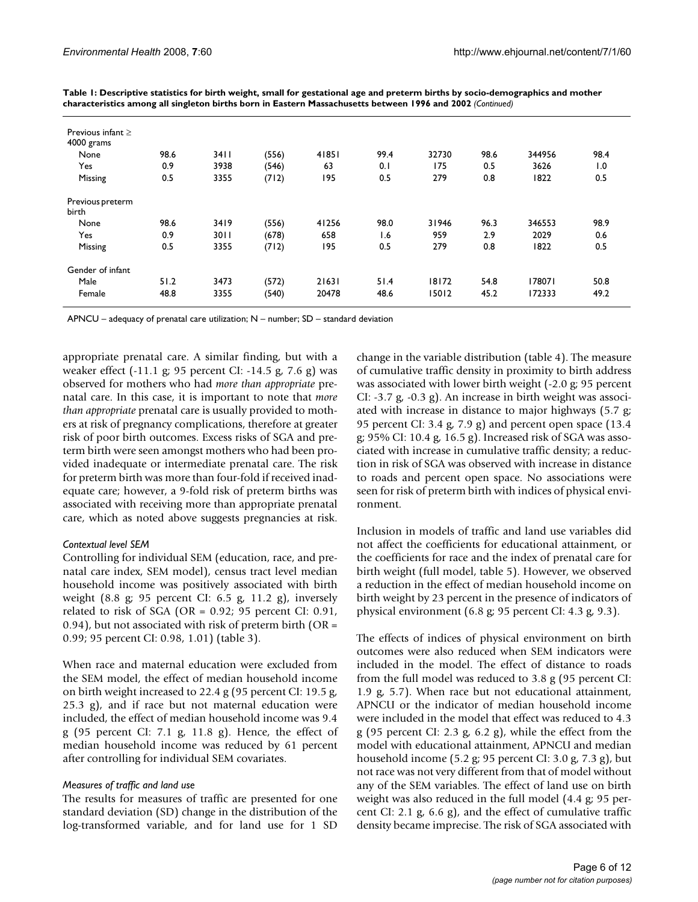| Previous infant $\geq$<br>4000 grams |      |      |       |       |      |       |      |        |      |
|--------------------------------------|------|------|-------|-------|------|-------|------|--------|------|
| None                                 | 98.6 | 3411 | (556) | 41851 | 99.4 | 32730 | 98.6 | 344956 | 98.4 |
| Yes                                  | 0.9  | 3938 | (546) | 63    | 0.1  | 175   | 0.5  | 3626   | 1.0  |
| Missing                              | 0.5  | 3355 | (712) | 195   | 0.5  | 279   | 0.8  | 1822   | 0.5  |
| Previous preterm<br>birth            |      |      |       |       |      |       |      |        |      |
| None                                 | 98.6 | 3419 | (556) | 41256 | 98.0 | 31946 | 96.3 | 346553 | 98.9 |
| Yes                                  | 0.9  | 3011 | (678) | 658   | 1.6  | 959   | 2.9  | 2029   | 0.6  |
| Missing                              | 0.5  | 3355 | (712) | 195   | 0.5  | 279   | 0.8  | 1822   | 0.5  |
| Gender of infant                     |      |      |       |       |      |       |      |        |      |
| Male                                 | 51.2 | 3473 | (572) | 21631 | 51.4 | 18172 | 54.8 | 178071 | 50.8 |
| Female                               | 48.8 | 3355 | (540) | 20478 | 48.6 | 15012 | 45.2 | 172333 | 49.2 |

**Table 1: Descriptive statistics for birth weight, small for gestational age and preterm births by socio-demographics and mother characteristics among all singleton births born in Eastern Massachusetts between 1996 and 2002** *(Continued)*

APNCU – adequacy of prenatal care utilization; N – number; SD – standard deviation

appropriate prenatal care. A similar finding, but with a weaker effect (-11.1 g; 95 percent CI: -14.5 g, 7.6 g) was observed for mothers who had *more than appropriate* prenatal care. In this case, it is important to note that *more than appropriate* prenatal care is usually provided to mothers at risk of pregnancy complications, therefore at greater risk of poor birth outcomes. Excess risks of SGA and preterm birth were seen amongst mothers who had been provided inadequate or intermediate prenatal care. The risk for preterm birth was more than four-fold if received inadequate care; however, a 9-fold risk of preterm births was associated with receiving more than appropriate prenatal care, which as noted above suggests pregnancies at risk.

#### *Contextual level SEM*

Controlling for individual SEM (education, race, and prenatal care index, SEM model), census tract level median household income was positively associated with birth weight (8.8 g; 95 percent CI: 6.5 g, 11.2 g), inversely related to risk of SGA (OR =  $0.92$ ; 95 percent CI:  $0.91$ , 0.94), but not associated with risk of preterm birth (OR = 0.99; 95 percent CI: 0.98, 1.01) (table 3).

When race and maternal education were excluded from the SEM model, the effect of median household income on birth weight increased to 22.4 g (95 percent CI: 19.5 g, 25.3 g), and if race but not maternal education were included, the effect of median household income was 9.4 g (95 percent CI: 7.1 g, 11.8 g). Hence, the effect of median household income was reduced by 61 percent after controlling for individual SEM covariates.

#### *Measures of traffic and land use*

The results for measures of traffic are presented for one standard deviation (SD) change in the distribution of the log-transformed variable, and for land use for 1 SD

change in the variable distribution (table 4). The measure of cumulative traffic density in proximity to birth address was associated with lower birth weight (-2.0 g; 95 percent CI: -3.7 g, -0.3 g). An increase in birth weight was associated with increase in distance to major highways (5.7 g; 95 percent CI: 3.4 g, 7.9 g) and percent open space (13.4 g; 95% CI: 10.4 g, 16.5 g). Increased risk of SGA was associated with increase in cumulative traffic density; a reduction in risk of SGA was observed with increase in distance to roads and percent open space. No associations were seen for risk of preterm birth with indices of physical environment.

Inclusion in models of traffic and land use variables did not affect the coefficients for educational attainment, or the coefficients for race and the index of prenatal care for birth weight (full model, table 5). However, we observed a reduction in the effect of median household income on birth weight by 23 percent in the presence of indicators of physical environment (6.8 g; 95 percent CI: 4.3 g, 9.3).

The effects of indices of physical environment on birth outcomes were also reduced when SEM indicators were included in the model. The effect of distance to roads from the full model was reduced to 3.8 g (95 percent CI: 1.9 g, 5.7). When race but not educational attainment, APNCU or the indicator of median household income were included in the model that effect was reduced to 4.3 g (95 percent CI: 2.3 g, 6.2 g), while the effect from the model with educational attainment, APNCU and median household income (5.2 g; 95 percent CI: 3.0 g, 7.3 g), but not race was not very different from that of model without any of the SEM variables. The effect of land use on birth weight was also reduced in the full model (4.4 g; 95 percent CI: 2.1 g, 6.6 g), and the effect of cumulative traffic density became imprecise. The risk of SGA associated with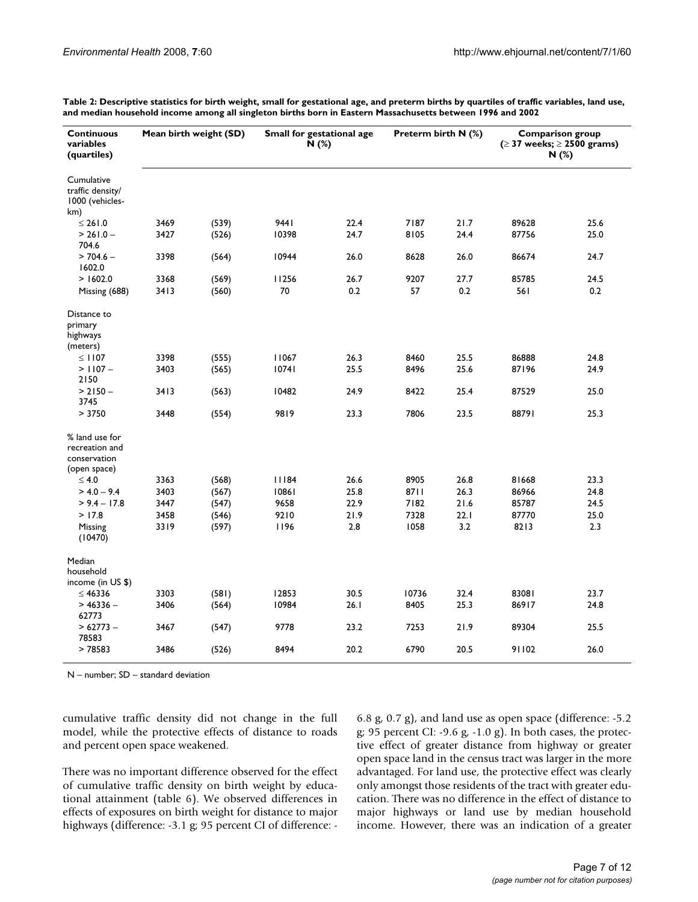| <b>Continuous</b><br>variables<br>(quartiles)                    |      | Mean birth weight (SD) |       | Small for gestational age<br>Preterm birth N (%)<br>N(%) |       |      |       | <b>Comparison group</b><br>$( \geq 37$ weeks; $\geq 2500$ grams)<br>N(%) |
|------------------------------------------------------------------|------|------------------------|-------|----------------------------------------------------------|-------|------|-------|--------------------------------------------------------------------------|
| Cumulative<br>traffic density/<br>1000 (vehicles-<br>km)         |      |                        |       |                                                          |       |      |       |                                                                          |
| ≤ 261.0                                                          | 3469 | (539)                  | 9441  | 22.4                                                     | 7187  | 21.7 | 89628 | 25.6                                                                     |
| $> 261.0 -$<br>704.6                                             | 3427 | (526)                  | 10398 | 24.7                                                     | 8105  | 24.4 | 87756 | 25.0                                                                     |
| $> 704.6 -$<br>1602.0                                            | 3398 | (564)                  | 10944 | 26.0                                                     | 8628  | 26.0 | 86674 | 24.7                                                                     |
| > 1602.0                                                         | 3368 | (569)                  | 11256 | 26.7                                                     | 9207  | 27.7 | 85785 | 24.5                                                                     |
| Missing (688)                                                    | 3413 | (560)                  | 70    | 0.2                                                      | 57    | 0.2  | 561   | 0.2                                                                      |
| Distance to<br>primary<br>highways<br>(meters)                   |      |                        |       |                                                          |       |      |       |                                                                          |
| $\leq$ 1107                                                      | 3398 | (555)                  | 11067 | 26.3                                                     | 8460  | 25.5 | 86888 | 24.8                                                                     |
| $>$ 1107 –<br>2150                                               | 3403 | (565)                  | 10741 | 25.5                                                     | 8496  | 25.6 | 87196 | 24.9                                                                     |
| $> 2150 -$<br>3745                                               | 3413 | (563)                  | 10482 | 24.9                                                     | 8422  | 25.4 | 87529 | 25.0                                                                     |
| > 3750                                                           | 3448 | (554)                  | 9819  | 23.3                                                     | 7806  | 23.5 | 88791 | 25.3                                                                     |
| % land use for<br>recreation and<br>conservation<br>(open space) |      |                        |       |                                                          |       |      |       |                                                                          |
| $\leq 4.0$                                                       | 3363 | (568)                  | 11184 | 26.6                                                     | 8905  | 26.8 | 81668 | 23.3                                                                     |
| $> 4.0 - 9.4$                                                    | 3403 | (567)                  | 10861 | 25.8                                                     | 8711  | 26.3 | 86966 | 24.8                                                                     |
| $> 9.4 - 17.8$                                                   | 3447 | (547)                  | 9658  | 22.9                                                     | 7182  | 21.6 | 85787 | 24.5                                                                     |
| >17.8                                                            | 3458 | (546)                  | 9210  | 21.9                                                     | 7328  | 22.1 | 87770 | 25.0                                                                     |
| Missing<br>(10470)                                               | 3319 | (597)                  | 1196  | 2.8                                                      | 1058  | 3.2  | 8213  | 2.3                                                                      |
| Median<br>household<br>income (in US \$)                         |      |                        |       |                                                          |       |      |       |                                                                          |
| $\leq 46336$                                                     | 3303 | (581)                  | 12853 | 30.5                                                     | 10736 | 32.4 | 83081 | 23.7                                                                     |
| $> 46336 -$<br>62773                                             | 3406 | (564)                  | 10984 | 26.1                                                     | 8405  | 25.3 | 86917 | 24.8                                                                     |
| $>62773-$<br>78583                                               | 3467 | (547)                  | 9778  | 23.2                                                     | 7253  | 21.9 | 89304 | 25.5                                                                     |
| >78583                                                           | 3486 | (526)                  | 8494  | 20.2                                                     | 6790  | 20.5 | 91102 | 26.0                                                                     |

**Table 2: Descriptive statistics for birth weight, small for gestational age, and preterm births by quartiles of traffic variables, land use, and median household income among all singleton births born in Eastern Massachusetts between 1996 and 2002**

N – number; SD – standard deviation

cumulative traffic density did not change in the full model, while the protective effects of distance to roads and percent open space weakened.

There was no important difference observed for the effect of cumulative traffic density on birth weight by educational attainment (table 6). We observed differences in effects of exposures on birth weight for distance to major highways (difference: -3.1 g; 95 percent CI of difference: -

6.8 g, 0.7 g), and land use as open space (difference: -5.2 g; 95 percent CI: -9.6 g, -1.0 g). In both cases, the protective effect of greater distance from highway or greater open space land in the census tract was larger in the more advantaged. For land use, the protective effect was clearly only amongst those residents of the tract with greater education. There was no difference in the effect of distance to major highways or land use by median household income. However, there was an indication of a greater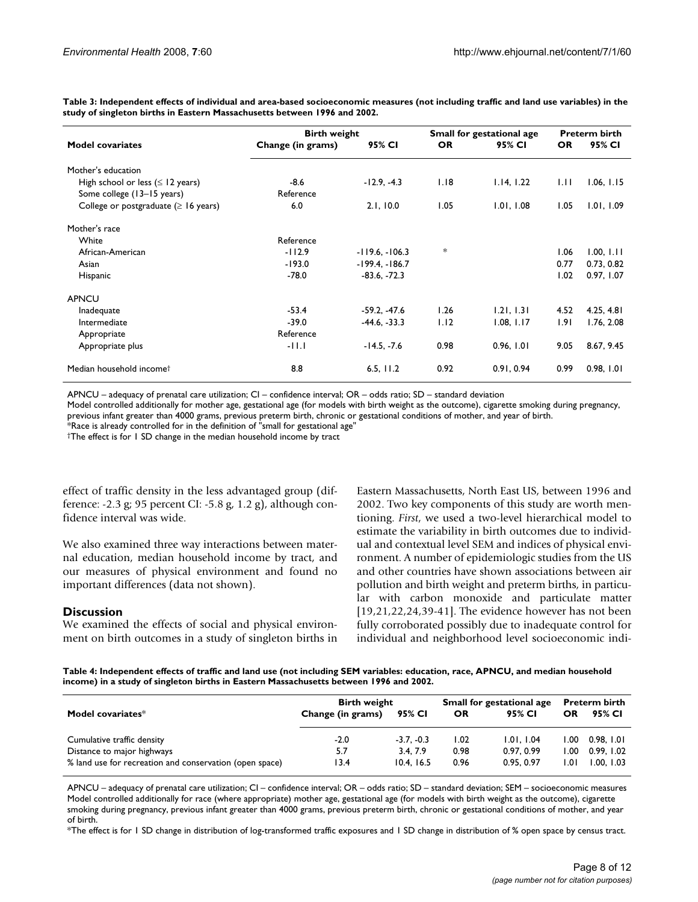**Table 3: Independent effects of individual and area-based socioeconomic measures (not including traffic and land use variables) in the study of singleton births in Eastern Massachusetts between 1996 and 2002.**

|                                            | <b>Birth weight</b> |                  | Small for gestational age | <b>Preterm birth</b> |           |            |
|--------------------------------------------|---------------------|------------------|---------------------------|----------------------|-----------|------------|
| <b>Model covariates</b>                    | Change (in grams)   | 95% CI           | <b>OR</b>                 | 95% CI               | <b>OR</b> | 95% CI     |
| Mother's education                         |                     |                  |                           |                      |           |            |
| High school or less ( $\leq$ 12 years)     | $-8.6$              | $-12.9, -4.3$    | 1.18                      | 1.14, 1.22           | 1.11      | 1.06, 1.15 |
| Some college (13–15 years)                 | Reference           |                  |                           |                      |           |            |
| College or postgraduate ( $\geq 16$ years) | 6.0                 | 2.1, 10.0        | 1.05                      | 1.01, 1.08           | 1.05      | 1.01, 1.09 |
| Mother's race                              |                     |                  |                           |                      |           |            |
| White                                      | Reference           |                  |                           |                      |           |            |
| African-American                           | $-112.9$            | $-119.6, -106.3$ | *                         |                      | 1.06      | 1.00, 1.11 |
| Asian                                      | $-193.0$            | $-199.4, -186.7$ |                           |                      | 0.77      | 0.73, 0.82 |
| Hispanic                                   | $-78.0$             | $-83.6, -72.3$   |                           |                      | 1.02      | 0.97, 1.07 |
| <b>APNCU</b>                               |                     |                  |                           |                      |           |            |
| Inadequate                                 | $-53.4$             | $-59.2. -47.6$   | 1.26                      | 1.21, 1.31           | 4.52      | 4.25, 4.81 |
| Intermediate                               | $-39.0$             | $-44.6, -33.3$   | 1.12                      | 1.08, 1.17           | 1.91      | 1.76, 2.08 |
| Appropriate                                | Reference           |                  |                           |                      |           |            |
| Appropriate plus                           | $-11.1$             | $-14.5, -7.6$    | 0.98                      | 0.96, 1.01           | 9.05      | 8.67, 9.45 |
| Median household incomet                   | 8.8                 | 6.5, 11.2        | 0.92                      | 0.91, 0.94           | 0.99      | 0.98, 1.01 |

APNCU – adequacy of prenatal care utilization; CI – confidence interval; OR – odds ratio; SD – standard deviation

Model controlled additionally for mother age, gestational age (for models with birth weight as the outcome), cigarette smoking during pregnancy,

previous infant greater than 4000 grams, previous preterm birth, chronic or gestational conditions of mother, and year of birth.

 $*$ Race is already controlled for in the definition of "small for gestational age"  $\,$ 

†The effect is for 1 SD change in the median household income by tract

effect of traffic density in the less advantaged group (difference: -2.3 g; 95 percent CI: -5.8 g, 1.2 g), although confidence interval was wide.

We also examined three way interactions between maternal education, median household income by tract, and our measures of physical environment and found no important differences (data not shown).

## **Discussion**

We examined the effects of social and physical environment on birth outcomes in a study of singleton births in Eastern Massachusetts, North East US, between 1996 and 2002. Two key components of this study are worth mentioning. *First*, we used a two-level hierarchical model to estimate the variability in birth outcomes due to individual and contextual level SEM and indices of physical environment. A number of epidemiologic studies from the US and other countries have shown associations between air pollution and birth weight and preterm births, in particular with carbon monoxide and particulate matter [19,21,22,24,39-41]. The evidence however has not been fully corroborated possibly due to inadequate control for individual and neighborhood level socioeconomic indi-

**Table 4: Independent effects of traffic and land use (not including SEM variables: education, race, APNCU, and median household income) in a study of singleton births in Eastern Massachusetts between 1996 and 2002.**

|                                                         | <b>Birth weight</b> |              | Small for gestational age | <b>Preterm birth</b> |       |            |
|---------------------------------------------------------|---------------------|--------------|---------------------------|----------------------|-------|------------|
| Model covariates*                                       | Change (in grams)   | 95% CI       | OR                        | 95% CI               | OR    | 95% CI     |
| Cumulative traffic density                              | $-2.0$              | $-3.7. -0.3$ | 1.02                      | 1.01.1.04            | 00. ا | 0.98. I.OI |
| Distance to major highways                              | 5.7                 | 3.4.7.9      | 0.98                      | 0.97, 0.99           | 1.00  | 0.99.1.02  |
| % land use for recreation and conservation (open space) | 13.4                | 10.4.16.5    | 0.96                      | 0.95, 0.97           | l.OI  | 1.00. 1.03 |

APNCU – adequacy of prenatal care utilization; CI – confidence interval; OR – odds ratio; SD – standard deviation; SEM – socioeconomic measures Model controlled additionally for race (where appropriate) mother age, gestational age (for models with birth weight as the outcome), cigarette smoking during pregnancy, previous infant greater than 4000 grams, previous preterm birth, chronic or gestational conditions of mother, and year of birth.

\*The effect is for 1 SD change in distribution of log-transformed traffic exposures and 1 SD change in distribution of % open space by census tract.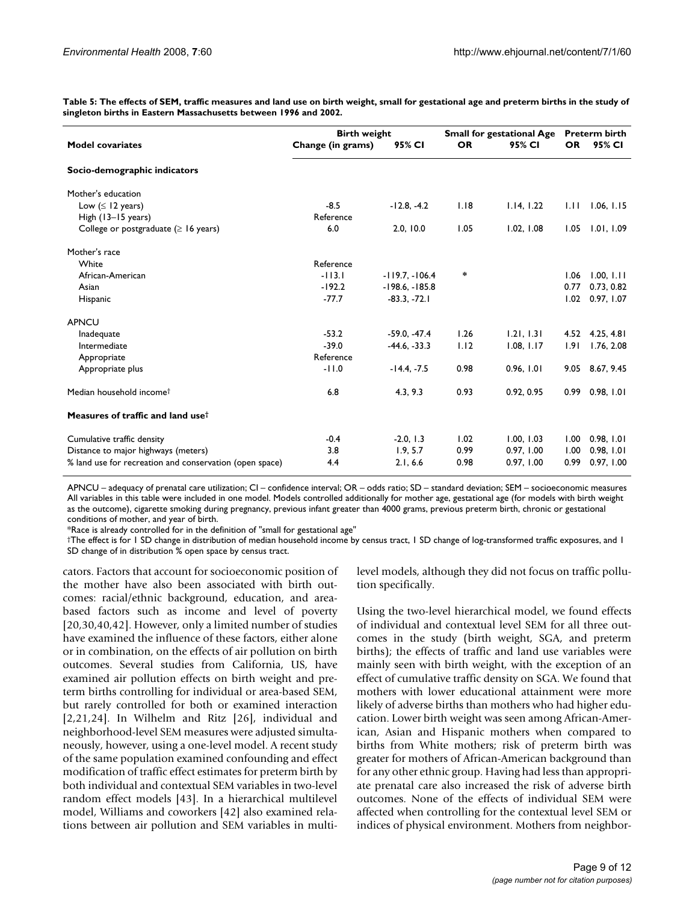**Table 5: The effects of SEM, traffic measures and land use on birth weight, small for gestational age and preterm births in the study of singleton births in Eastern Massachusetts between 1996 and 2002.**

|                                                         | <b>Birth weight</b> | <b>Small for gestational Age</b> | <b>Preterm birth</b> |            |           |                 |
|---------------------------------------------------------|---------------------|----------------------------------|----------------------|------------|-----------|-----------------|
| <b>Model covariates</b>                                 | Change (in grams)   | 95% CI                           | <b>OR</b>            | 95% CI     | <b>OR</b> | 95% CI          |
| Socio-demographic indicators                            |                     |                                  |                      |            |           |                 |
| Mother's education                                      |                     |                                  |                      |            |           |                 |
| Low $( \leq 12 \text{ years})$                          | $-8.5$              | $-12.8, -4.2$                    | 1.18                 | 1.14, 1.22 | 1.11      | 1.06, 1.15      |
| High $(13-15$ years)                                    | Reference           |                                  |                      |            |           |                 |
| College or postgraduate ( $\geq 16$ years)              | 6.0                 | 2.0, 10.0                        | 1.05                 | 1.02, 1.08 | 1.05      | 1.01, 1.09      |
| Mother's race                                           |                     |                                  |                      |            |           |                 |
| White                                                   | Reference           |                                  |                      |            |           |                 |
| African-American                                        | $-113.1$            | $-119.7, -106.4$                 | ∗                    |            | 1.06      | 1.00, 1.11      |
| Asian                                                   | $-192.2$            | $-198.6, -185.8$                 |                      |            | 0.77      | 0.73, 0.82      |
| Hispanic                                                | $-77.7$             | $-83.3, -72.1$                   |                      |            | 1.02      | 0.97, 1.07      |
| <b>APNCU</b>                                            |                     |                                  |                      |            |           |                 |
| Inadequate                                              | $-53.2$             | $-59.0, -47.4$                   | 1.26                 | 1.21, 1.31 |           | 4.52 4.25, 4.81 |
| Intermediate                                            | $-39.0$             | $-44.6, -33.3$                   | 1.12                 | 1.08, 1.17 | 1.91      | 1.76, 2.08      |
| Appropriate                                             | Reference           |                                  |                      |            |           |                 |
| Appropriate plus                                        | $-11.0$             | $-14.4, -7.5$                    | 0.98                 | 0.96, 1.01 |           | 9.05 8.67, 9.45 |
| Median household income <sup>†</sup>                    | 6.8                 | 4.3, 9.3                         | 0.93                 | 0.92, 0.95 |           | 0.99 0.98, 1.01 |
| Measures of traffic and land use <sup>†</sup>           |                     |                                  |                      |            |           |                 |
| Cumulative traffic density                              | $-0.4$              | $-2.0, 1.3$                      | 1.02                 | 1.00, 1.03 | 1.00      | 0.98, 1.01      |
| Distance to major highways (meters)                     | 3.8                 | 1.9, 5.7                         | 0.99                 | 0.97, 1.00 | 1.00      | 0.98, 1.01      |
| % land use for recreation and conservation (open space) | 4.4                 | 2.1, 6.6                         | 0.98                 | 0.97, 1.00 | 0.99      | 0.97, 1.00      |

APNCU – adequacy of prenatal care utilization; CI – confidence interval; OR – odds ratio; SD – standard deviation; SEM – socioeconomic measures All variables in this table were included in one model. Models controlled additionally for mother age, gestational age (for models with birth weight as the outcome), cigarette smoking during pregnancy, previous infant greater than 4000 grams, previous preterm birth, chronic or gestational conditions of mother, and year of birth.

\*Race is already controlled for in the definition of "small for gestational age"

†The effect is for 1 SD change in distribution of median household income by census tract, 1 SD change of log-transformed traffic exposures, and 1 SD change of in distribution % open space by census tract.

cators. Factors that account for socioeconomic position of the mother have also been associated with birth outcomes: racial/ethnic background, education, and areabased factors such as income and level of poverty [20,30,40,42]. However, only a limited number of studies have examined the influence of these factors, either alone or in combination, on the effects of air pollution on birth outcomes. Several studies from California, US, have examined air pollution effects on birth weight and preterm births controlling for individual or area-based SEM, but rarely controlled for both or examined interaction [2,21,24]. In Wilhelm and Ritz [26], individual and neighborhood-level SEM measures were adjusted simultaneously, however, using a one-level model. A recent study of the same population examined confounding and effect modification of traffic effect estimates for preterm birth by both individual and contextual SEM variables in two-level random effect models [43]. In a hierarchical multilevel model, Williams and coworkers [42] also examined relations between air pollution and SEM variables in multilevel models, although they did not focus on traffic pollution specifically.

Using the two-level hierarchical model, we found effects of individual and contextual level SEM for all three outcomes in the study (birth weight, SGA, and preterm births); the effects of traffic and land use variables were mainly seen with birth weight, with the exception of an effect of cumulative traffic density on SGA. We found that mothers with lower educational attainment were more likely of adverse births than mothers who had higher education. Lower birth weight was seen among African-American, Asian and Hispanic mothers when compared to births from White mothers; risk of preterm birth was greater for mothers of African-American background than for any other ethnic group. Having had less than appropriate prenatal care also increased the risk of adverse birth outcomes. None of the effects of individual SEM were affected when controlling for the contextual level SEM or indices of physical environment. Mothers from neighbor-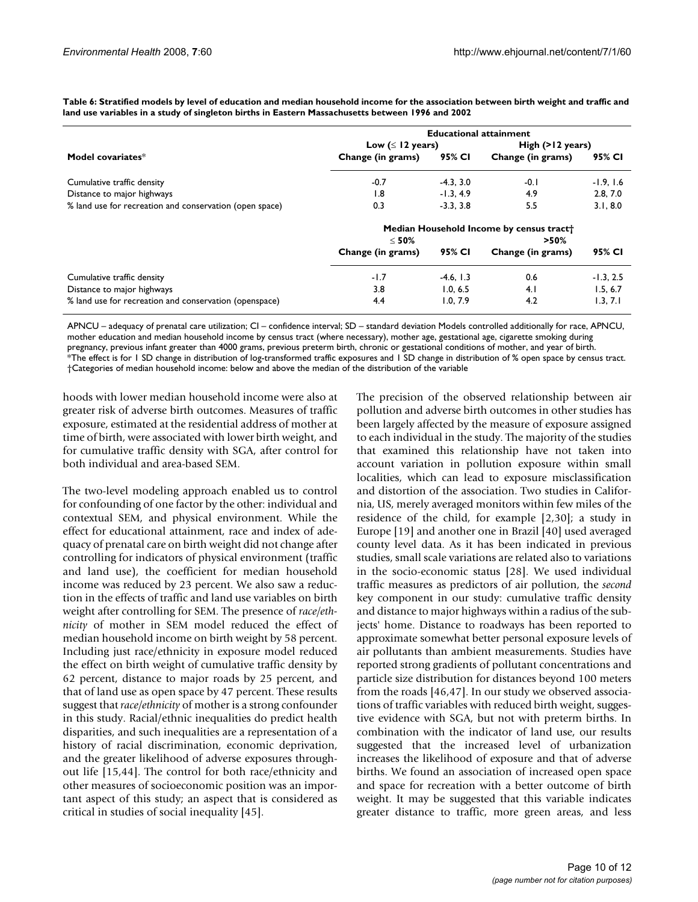|                                                         | <b>Educational attainment</b>  |             |                                                    |             |  |  |  |
|---------------------------------------------------------|--------------------------------|-------------|----------------------------------------------------|-------------|--|--|--|
|                                                         | Low $( \leq 12 \text{ years})$ |             | High $(>12$ years)                                 |             |  |  |  |
| Model covariates*                                       | Change (in grams)              | 95% CI      | Change (in grams)                                  | 95% CI      |  |  |  |
| Cumulative traffic density                              | $-0.7$                         | $-4.3, 3.0$ | $-0.1$                                             | $-1.9, 1.6$ |  |  |  |
| Distance to major highways                              | 1.8                            | $-1.3, 4.9$ | 4.9                                                | 2.8, 7.0    |  |  |  |
| % land use for recreation and conservation (open space) | 0.3                            | $-3.3, 3.8$ | 5.5                                                | 3.1, 8.0    |  |  |  |
|                                                         | $<$ 50%                        |             | Median Household Income by census tract<br>$>50\%$ |             |  |  |  |
|                                                         | Change (in grams)              | 95% CI      | Change (in grams)                                  | 95% CI      |  |  |  |
| Cumulative traffic density                              | $-1.7$                         | $-4.6, 1.3$ | 0.6                                                | $-1.3, 2.5$ |  |  |  |
| Distance to major highways                              | 3.8                            | 1.0.6.5     | 4.1                                                | 1.5, 6.7    |  |  |  |
| % land use for recreation and conservation (openspace)  | 4.4                            | 1.0.7.9     | 4.2                                                | 1.3.7.1     |  |  |  |

**Table 6: Stratified models by level of education and median household income for the association between birth weight and traffic and land use variables in a study of singleton births in Eastern Massachusetts between 1996 and 2002**

APNCU – adequacy of prenatal care utilization; CI – confidence interval; SD – standard deviation Models controlled additionally for race, APNCU, mother education and median household income by census tract (where necessary), mother age, gestational age, cigarette smoking during pregnancy, previous infant greater than 4000 grams, previous preterm birth, chronic or gestational conditions of mother, and year of birth. \*The effect is for 1 SD change in distribution of log-transformed traffic exposures and 1 SD change in distribution of % open space by census tract.

†Categories of median household income: below and above the median of the distribution of the variable

hoods with lower median household income were also at greater risk of adverse birth outcomes. Measures of traffic exposure, estimated at the residential address of mother at time of birth, were associated with lower birth weight, and for cumulative traffic density with SGA, after control for both individual and area-based SEM.

The two-level modeling approach enabled us to control for confounding of one factor by the other: individual and contextual SEM, and physical environment. While the effect for educational attainment, race and index of adequacy of prenatal care on birth weight did not change after controlling for indicators of physical environment (traffic and land use), the coefficient for median household income was reduced by 23 percent. We also saw a reduction in the effects of traffic and land use variables on birth weight after controlling for SEM. The presence of *race/ethnicity* of mother in SEM model reduced the effect of median household income on birth weight by 58 percent. Including just race/ethnicity in exposure model reduced the effect on birth weight of cumulative traffic density by 62 percent, distance to major roads by 25 percent, and that of land use as open space by 47 percent. These results suggest that *race/ethnicity* of mother is a strong confounder in this study. Racial/ethnic inequalities do predict health disparities, and such inequalities are a representation of a history of racial discrimination, economic deprivation, and the greater likelihood of adverse exposures throughout life [15,44]. The control for both race/ethnicity and other measures of socioeconomic position was an important aspect of this study; an aspect that is considered as critical in studies of social inequality [45].

The precision of the observed relationship between air pollution and adverse birth outcomes in other studies has been largely affected by the measure of exposure assigned to each individual in the study. The majority of the studies that examined this relationship have not taken into account variation in pollution exposure within small localities, which can lead to exposure misclassification and distortion of the association. Two studies in California, US, merely averaged monitors within few miles of the residence of the child, for example [2,30]; a study in Europe [19] and another one in Brazil [40] used averaged county level data. As it has been indicated in previous studies, small scale variations are related also to variations in the socio-economic status [28]. We used individual traffic measures as predictors of air pollution, the *second* key component in our study: cumulative traffic density and distance to major highways within a radius of the subjects' home. Distance to roadways has been reported to approximate somewhat better personal exposure levels of air pollutants than ambient measurements. Studies have reported strong gradients of pollutant concentrations and particle size distribution for distances beyond 100 meters from the roads [46,47]. In our study we observed associations of traffic variables with reduced birth weight, suggestive evidence with SGA, but not with preterm births. In combination with the indicator of land use, our results suggested that the increased level of urbanization increases the likelihood of exposure and that of adverse births. We found an association of increased open space and space for recreation with a better outcome of birth weight. It may be suggested that this variable indicates greater distance to traffic, more green areas, and less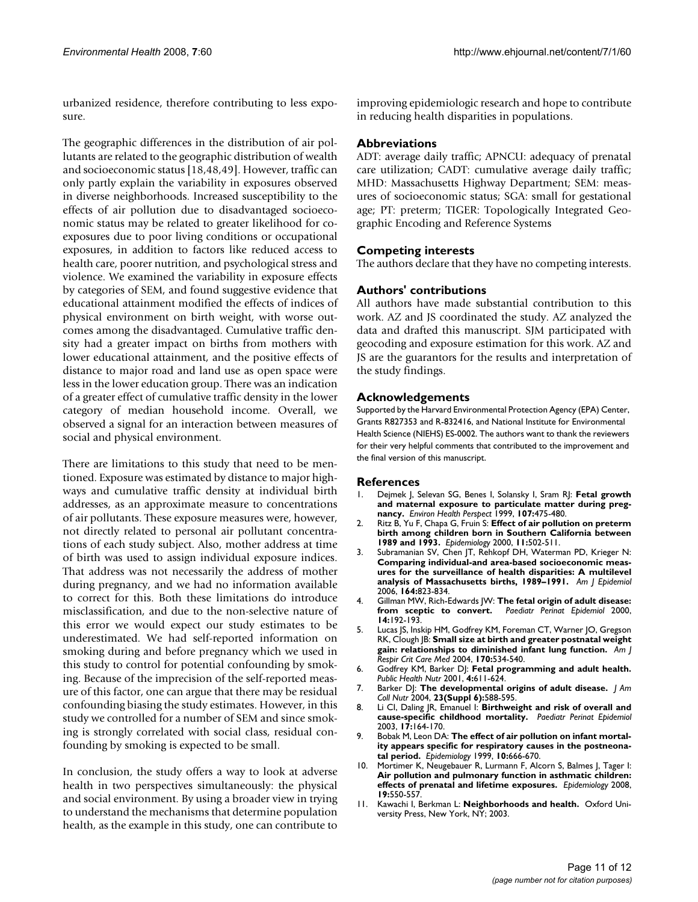urbanized residence, therefore contributing to less exposure.

The geographic differences in the distribution of air pollutants are related to the geographic distribution of wealth and socioeconomic status [18,48,49]. However, traffic can only partly explain the variability in exposures observed in diverse neighborhoods. Increased susceptibility to the effects of air pollution due to disadvantaged socioeconomic status may be related to greater likelihood for coexposures due to poor living conditions or occupational exposures, in addition to factors like reduced access to health care, poorer nutrition, and psychological stress and violence. We examined the variability in exposure effects by categories of SEM, and found suggestive evidence that educational attainment modified the effects of indices of physical environment on birth weight, with worse outcomes among the disadvantaged. Cumulative traffic density had a greater impact on births from mothers with lower educational attainment, and the positive effects of distance to major road and land use as open space were less in the lower education group. There was an indication of a greater effect of cumulative traffic density in the lower category of median household income. Overall, we observed a signal for an interaction between measures of social and physical environment.

There are limitations to this study that need to be mentioned. Exposure was estimated by distance to major highways and cumulative traffic density at individual birth addresses, as an approximate measure to concentrations of air pollutants. These exposure measures were, however, not directly related to personal air pollutant concentrations of each study subject. Also, mother address at time of birth was used to assign individual exposure indices. That address was not necessarily the address of mother during pregnancy, and we had no information available to correct for this. Both these limitations do introduce misclassification, and due to the non-selective nature of this error we would expect our study estimates to be underestimated. We had self-reported information on smoking during and before pregnancy which we used in this study to control for potential confounding by smoking. Because of the imprecision of the self-reported measure of this factor, one can argue that there may be residual confounding biasing the study estimates. However, in this study we controlled for a number of SEM and since smoking is strongly correlated with social class, residual confounding by smoking is expected to be small.

In conclusion, the study offers a way to look at adverse health in two perspectives simultaneously: the physical and social environment. By using a broader view in trying to understand the mechanisms that determine population health, as the example in this study, one can contribute to

improving epidemiologic research and hope to contribute in reducing health disparities in populations.

## **Abbreviations**

ADT: average daily traffic; APNCU: adequacy of prenatal care utilization; CADT: cumulative average daily traffic; MHD: Massachusetts Highway Department; SEM: measures of socioeconomic status; SGA: small for gestational age; PT: preterm; TIGER: Topologically Integrated Geographic Encoding and Reference Systems

## **Competing interests**

The authors declare that they have no competing interests.

## **Authors' contributions**

All authors have made substantial contribution to this work. AZ and JS coordinated the study. AZ analyzed the data and drafted this manuscript. SJM participated with geocoding and exposure estimation for this work. AZ and JS are the guarantors for the results and interpretation of the study findings.

#### **Acknowledgements**

Supported by the Harvard Environmental Protection Agency (EPA) Center, Grants R827353 and R-832416, and National Institute for Environmental Health Science (NIEHS) ES-0002. The authors want to thank the reviewers for their very helpful comments that contributed to the improvement and the final version of this manuscript.

#### **References**

- 1. Dejmek J, Selevan SG, Benes I, Solansky I, Sram RJ: **[Fetal growth](http://www.ncbi.nlm.nih.gov/entrez/query.fcgi?cmd=Retrieve&db=PubMed&dopt=Abstract&list_uids=10339448) [and maternal exposure to particulate matter during preg](http://www.ncbi.nlm.nih.gov/entrez/query.fcgi?cmd=Retrieve&db=PubMed&dopt=Abstract&list_uids=10339448)[nancy.](http://www.ncbi.nlm.nih.gov/entrez/query.fcgi?cmd=Retrieve&db=PubMed&dopt=Abstract&list_uids=10339448)** *Environ Health Perspect* 1999, **107:**475-480.
- 2. Ritz B, Yu F, Chapa G, Fruin S: **[Effect of air pollution on preterm](http://www.ncbi.nlm.nih.gov/entrez/query.fcgi?cmd=Retrieve&db=PubMed&dopt=Abstract&list_uids=10955401) [birth among children born in Southern California between](http://www.ncbi.nlm.nih.gov/entrez/query.fcgi?cmd=Retrieve&db=PubMed&dopt=Abstract&list_uids=10955401) [1989 and 1993.](http://www.ncbi.nlm.nih.gov/entrez/query.fcgi?cmd=Retrieve&db=PubMed&dopt=Abstract&list_uids=10955401)** *Epidemiology* 2000, **11:**502-511.
- 3. Subramanian SV, Chen JT, Rehkopf DH, Waterman PD, Krieger N: **[Comparing individual-and area-based socioeconomic meas](http://www.ncbi.nlm.nih.gov/entrez/query.fcgi?cmd=Retrieve&db=PubMed&dopt=Abstract&list_uids=16968866)ures for the surveillance of health disparities: A multilevel [analysis of Massachusetts births, 1989–1991.](http://www.ncbi.nlm.nih.gov/entrez/query.fcgi?cmd=Retrieve&db=PubMed&dopt=Abstract&list_uids=16968866)** *Am J Epidemiol* 2006, **164:**823-834.
- 4. Gillman MW, Rich-Edwards JW: **[The fetal origin of adult disease:](http://www.ncbi.nlm.nih.gov/entrez/query.fcgi?cmd=Retrieve&db=PubMed&dopt=Abstract&list_uids=10949210) [from sceptic to convert.](http://www.ncbi.nlm.nih.gov/entrez/query.fcgi?cmd=Retrieve&db=PubMed&dopt=Abstract&list_uids=10949210)** *Paediatr Perinat Epidemiol* 2000, **14:**192-193.
- 5. Lucas JS, Inskip HM, Godfrey KM, Foreman CT, Warner JO, Gregson RK, Clough JB: **[Small size at birth and greater postnatal weight](http://www.ncbi.nlm.nih.gov/entrez/query.fcgi?cmd=Retrieve&db=PubMed&dopt=Abstract&list_uids=15172897) [gain: relationships to diminished infant lung function.](http://www.ncbi.nlm.nih.gov/entrez/query.fcgi?cmd=Retrieve&db=PubMed&dopt=Abstract&list_uids=15172897)** *Am J Respir Crit Care Med* 2004, **170:**534-540.
- 6. Godfrey KM, Barker DJ: **[Fetal programming and adult health.](http://www.ncbi.nlm.nih.gov/entrez/query.fcgi?cmd=Retrieve&db=PubMed&dopt=Abstract&list_uids=11683554)** *Public Health Nutr* 2001, **4:**611-624.
- 7. Barker DJ: **The developmental origins of adult disease.** *J Am Coll Nutr* 2004, **23(Suppl 6):**588-595.
- 8. Li CI, Daling JR, Emanuel I: **[Birthweight and risk of overall and](http://www.ncbi.nlm.nih.gov/entrez/query.fcgi?cmd=Retrieve&db=PubMed&dopt=Abstract&list_uids=12675783) [cause-specific childhood mortality.](http://www.ncbi.nlm.nih.gov/entrez/query.fcgi?cmd=Retrieve&db=PubMed&dopt=Abstract&list_uids=12675783)** *Paediatr Perinat Epidemiol* 2003, **17:**164-170.
- 9. Bobak M, Leon DA: **[The effect of air pollution on infant mortal](http://www.ncbi.nlm.nih.gov/entrez/query.fcgi?cmd=Retrieve&db=PubMed&dopt=Abstract&list_uids=10535778)[ity appears specific for respiratory causes in the postneona](http://www.ncbi.nlm.nih.gov/entrez/query.fcgi?cmd=Retrieve&db=PubMed&dopt=Abstract&list_uids=10535778)[tal period.](http://www.ncbi.nlm.nih.gov/entrez/query.fcgi?cmd=Retrieve&db=PubMed&dopt=Abstract&list_uids=10535778)** *Epidemiology* 1999, **10:**666-670.
- 10. Mortimer K, Neugebauer R, Lurmann F, Alcorn S, Balmes J, Tager I: **[Air pollution and pulmonary function in asthmatic children:](http://www.ncbi.nlm.nih.gov/entrez/query.fcgi?cmd=Retrieve&db=PubMed&dopt=Abstract&list_uids=18520616) [effects of prenatal and lifetime exposures.](http://www.ncbi.nlm.nih.gov/entrez/query.fcgi?cmd=Retrieve&db=PubMed&dopt=Abstract&list_uids=18520616)** *Epidemiology* 2008, **19:**550-557.
- 11. Kawachi I, Berkman L: **Neighborhoods and health.** Oxford University Press, New York, NY; 2003.